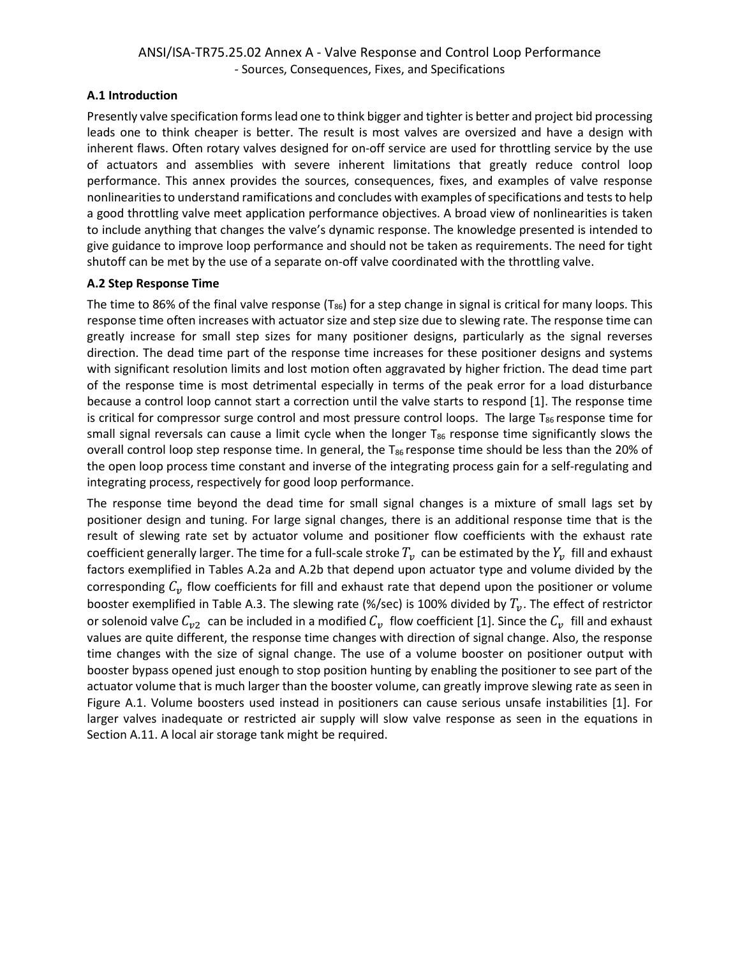### **A.1 Introduction**

Presently valve specification forms lead one to think bigger and tighter is better and project bid processing leads one to think cheaper is better. The result is most valves are oversized and have a design with inherent flaws. Often rotary valves designed for on-off service are used for throttling service by the use of actuators and assemblies with severe inherent limitations that greatly reduce control loop performance. This annex provides the sources, consequences, fixes, and examples of valve response nonlinearitiesto understand ramifications and concludes with examples of specifications and tests to help a good throttling valve meet application performance objectives. A broad view of nonlinearities is taken to include anything that changes the valve's dynamic response. The knowledge presented is intended to give guidance to improve loop performance and should not be taken as requirements. The need for tight shutoff can be met by the use of a separate on-off valve coordinated with the throttling valve.

#### **A.2 Step Response Time**

The time to 86% of the final valve response ( $T_{86}$ ) for a step change in signal is critical for many loops. This response time often increases with actuator size and step size due to slewing rate. The response time can greatly increase for small step sizes for many positioner designs, particularly as the signal reverses direction. The dead time part of the response time increases for these positioner designs and systems with significant resolution limits and lost motion often aggravated by higher friction. The dead time part of the response time is most detrimental especially in terms of the peak error for a load disturbance because a control loop cannot start a correction until the valve starts to respond [1]. The response time is critical for compressor surge control and most pressure control loops. The large  $T_{86}$  response time for small signal reversals can cause a limit cycle when the longer  $T_{86}$  response time significantly slows the overall control loop step response time. In general, the  $T_{86}$  response time should be less than the 20% of the open loop process time constant and inverse of the integrating process gain for a self-regulating and integrating process, respectively for good loop performance.

The response time beyond the dead time for small signal changes is a mixture of small lags set by positioner design and tuning. For large signal changes, there is an additional response time that is the result of slewing rate set by actuator volume and positioner flow coefficients with the exhaust rate coefficient generally larger. The time for a full-scale stroke  $T_v$  can be estimated by the  $Y_v$  fill and exhaust factors exemplified in Tables A.2a and A.2b that depend upon actuator type and volume divided by the corresponding  $C_v$  flow coefficients for fill and exhaust rate that depend upon the positioner or volume booster exemplified in Table A.3. The slewing rate (%/sec) is 100% divided by  $T_v$ . The effect of restrictor or solenoid valve  $C_{v2}$  can be included in a modified  $C_v$  flow coefficient [1]. Since the  $C_v$  fill and exhaust values are quite different, the response time changes with direction of signal change. Also, the response time changes with the size of signal change. The use of a volume booster on positioner output with booster bypass opened just enough to stop position hunting by enabling the positioner to see part of the actuator volume that is much larger than the booster volume, can greatly improve slewing rate as seen in Figure A.1. Volume boosters used instead in positioners can cause serious unsafe instabilities [1]. For larger valves inadequate or restricted air supply will slow valve response as seen in the equations in Section A.11. A local air storage tank might be required.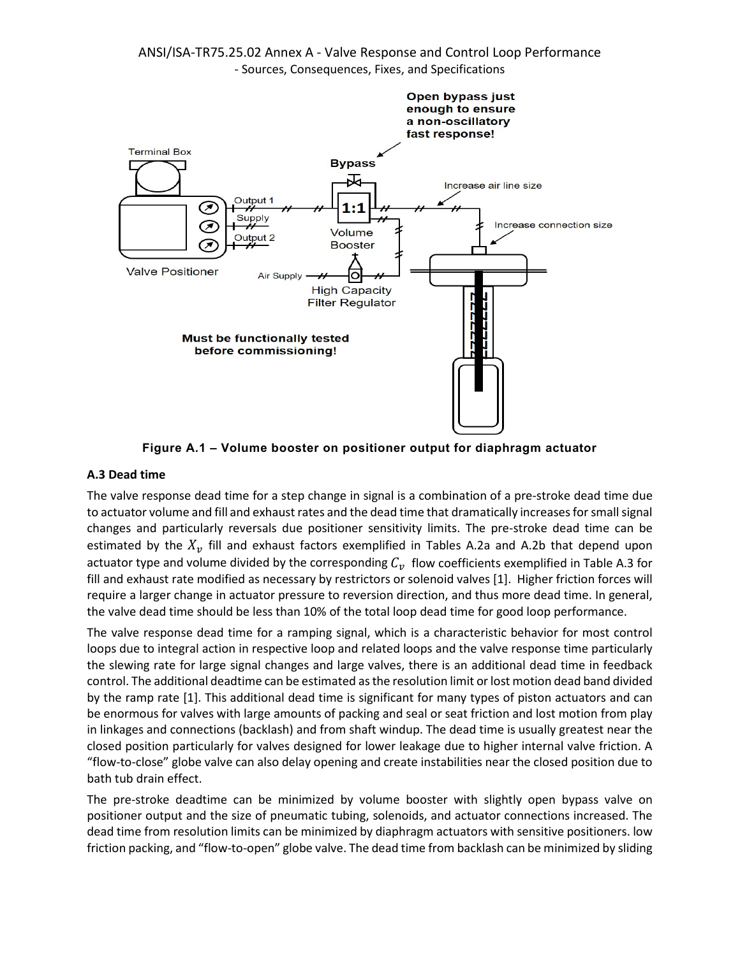

**Figure A.1 – Volume booster on positioner output for diaphragm actuator**

#### **A.3 Dead time**

The valve response dead time for a step change in signal is a combination of a pre-stroke dead time due to actuator volume and fill and exhaust rates and the dead time that dramatically increases for small signal changes and particularly reversals due positioner sensitivity limits. The pre-stroke dead time can be estimated by the  $X_n$  fill and exhaust factors exemplified in Tables A.2a and A.2b that depend upon actuator type and volume divided by the corresponding  $C_v$  flow coefficients exemplified in Table A.3 for fill and exhaust rate modified as necessary by restrictors or solenoid valves [1]. Higher friction forces will require a larger change in actuator pressure to reversion direction, and thus more dead time. In general, the valve dead time should be less than 10% of the total loop dead time for good loop performance.

The valve response dead time for a ramping signal, which is a characteristic behavior for most control loops due to integral action in respective loop and related loops and the valve response time particularly the slewing rate for large signal changes and large valves, there is an additional dead time in feedback control. The additional deadtime can be estimated as the resolution limit or lost motion dead band divided by the ramp rate [1]. This additional dead time is significant for many types of piston actuators and can be enormous for valves with large amounts of packing and seal or seat friction and lost motion from play in linkages and connections (backlash) and from shaft windup. The dead time is usually greatest near the closed position particularly for valves designed for lower leakage due to higher internal valve friction. A "flow-to-close" globe valve can also delay opening and create instabilities near the closed position due to bath tub drain effect.

The pre-stroke deadtime can be minimized by volume booster with slightly open bypass valve on positioner output and the size of pneumatic tubing, solenoids, and actuator connections increased. The dead time from resolution limits can be minimized by diaphragm actuators with sensitive positioners. low friction packing, and "flow-to-open" globe valve. The dead time from backlash can be minimized by sliding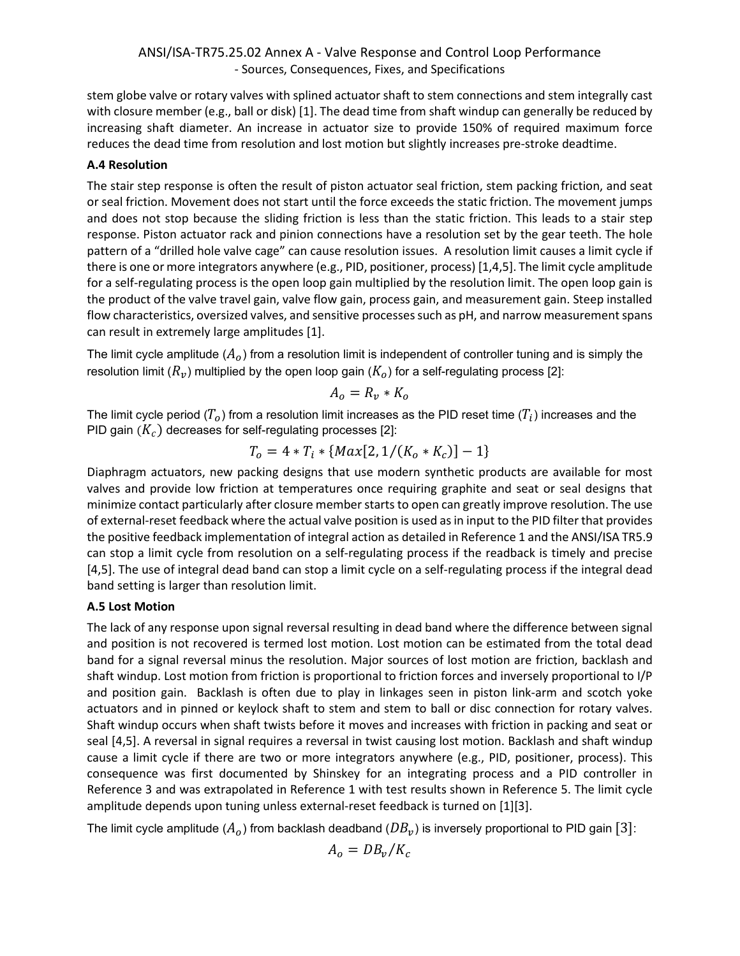stem globe valve or rotary valves with splined actuator shaft to stem connections and stem integrally cast with closure member (e.g., ball or disk) [1]. The dead time from shaft windup can generally be reduced by increasing shaft diameter. An increase in actuator size to provide 150% of required maximum force reduces the dead time from resolution and lost motion but slightly increases pre-stroke deadtime.

### **A.4 Resolution**

The stair step response is often the result of piston actuator seal friction, stem packing friction, and seat or seal friction. Movement does not start until the force exceeds the static friction. The movement jumps and does not stop because the sliding friction is less than the static friction. This leads to a stair step response. Piston actuator rack and pinion connections have a resolution set by the gear teeth. The hole pattern of a "drilled hole valve cage" can cause resolution issues. A resolution limit causes a limit cycle if there is one or more integrators anywhere (e.g., PID, positioner, process) [1,4,5]. The limit cycle amplitude for a self-regulating process is the open loop gain multiplied by the resolution limit. The open loop gain is the product of the valve travel gain, valve flow gain, process gain, and measurement gain. Steep installed flow characteristics, oversized valves, and sensitive processes such as pH, and narrow measurement spans can result in extremely large amplitudes [1].

The limit cycle amplitude  $(A_o)$  from a resolution limit is independent of controller tuning and is simply the resolution limit ( $R_v$ ) multiplied by the open loop gain ( $K_o$ ) for a self-regulating process [2]:

$$
A_o = R_v * K_o
$$

The limit cycle period ( $T_o$ ) from a resolution limit increases as the PID reset time ( $T_i$ ) increases and the PID gain  $(K_c)$  decreases for self-regulating processes [2]:

$$
T_o = 4 * T_i * \{ Max[2, 1/(K_o * K_c)] - 1 \}
$$

Diaphragm actuators, new packing designs that use modern synthetic products are available for most valves and provide low friction at temperatures once requiring graphite and seat or seal designs that minimize contact particularly after closure member starts to open can greatly improve resolution. The use of external-reset feedback where the actual valve position is used as in input to the PID filter that provides the positive feedback implementation of integral action as detailed in Reference 1 and the ANSI/ISA TR5.9 can stop a limit cycle from resolution on a self-regulating process if the readback is timely and precise [4,5]. The use of integral dead band can stop a limit cycle on a self-regulating process if the integral dead band setting is larger than resolution limit.

#### **A.5 Lost Motion**

The lack of any response upon signal reversal resulting in dead band where the difference between signal and position is not recovered is termed lost motion. Lost motion can be estimated from the total dead band for a signal reversal minus the resolution. Major sources of lost motion are friction, backlash and shaft windup. Lost motion from friction is proportional to friction forces and inversely proportional to I/P and position gain. Backlash is often due to play in linkages seen in piston link-arm and scotch yoke actuators and in pinned or keylock shaft to stem and stem to ball or disc connection for rotary valves. Shaft windup occurs when shaft twists before it moves and increases with friction in packing and seat or seal [4,5]. A reversal in signal requires a reversal in twist causing lost motion. Backlash and shaft windup cause a limit cycle if there are two or more integrators anywhere (e.g., PID, positioner, process). This consequence was first documented by Shinskey for an integrating process and a PID controller in Reference 3 and was extrapolated in Reference 1 with test results shown in Reference 5. The limit cycle amplitude depends upon tuning unless external-reset feedback is turned on [1][3].

The limit cycle amplitude ( $A_o$ ) from backlash deadband ( $DB_v$ ) is inversely proportional to PID gain [3]:

$$
A_o = DB_v/K_c
$$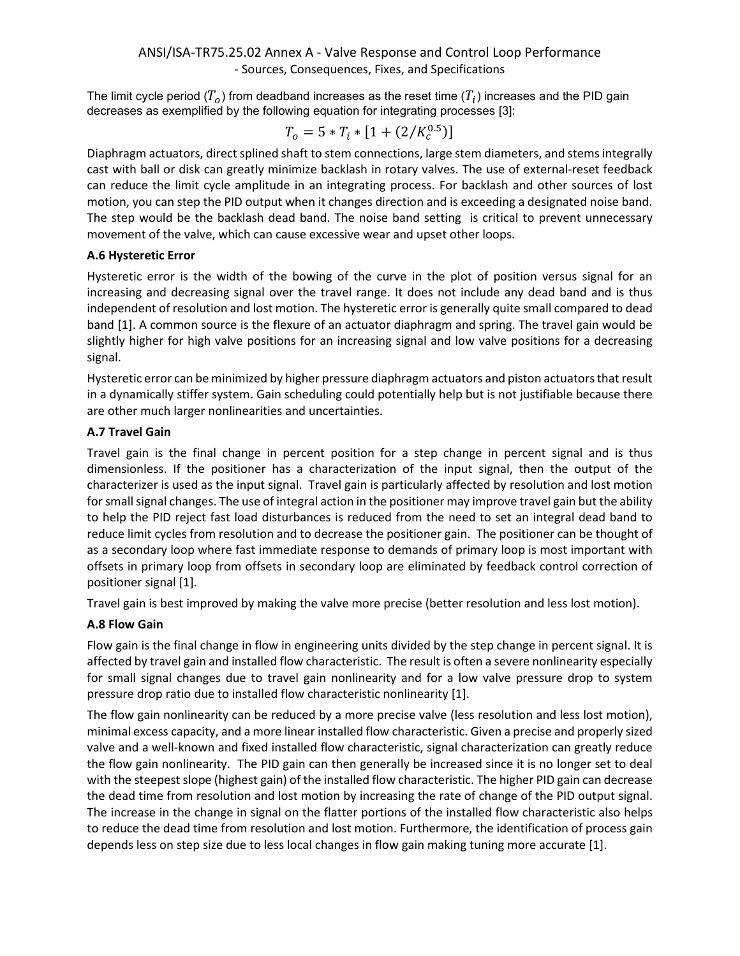The limit cycle period  $(T<sub>o</sub>)$  from deadband increases as the reset time  $(T<sub>i</sub>)$  increases and the PID gain decreases as exemplified by the following equation for integrating processes [3]:

$$
T_o = 5 * T_i * [1 + (2/K_c^{0.5})]
$$

Diaphragm actuators, direct splined shaft to stem connections, large stem diameters, and stems integrally cast with ball or disk can greatly minimize backlash in rotary valves. The use of external-reset feedback can reduce the limit cycle amplitude in an integrating process. For backlash and other sources of lost motion, you can step the PID output when it changes direction and is exceeding a designated noise band. The step would be the backlash dead band. The noise band setting is critical to prevent unnecessary movement of the valve, which can cause excessive wear and upset other loops.

### **A.6 Hysteretic Error**

Hysteretic error is the width of the bowing of the curve in the plot of position versus signal for an increasing and decreasing signal over the travel range. It does not include any dead band and is thus independent of resolution and lost motion. The hysteretic error is generally quite small compared to dead band [1]. A common source is the flexure of an actuator diaphragm and spring. The travel gain would be slightly higher for high valve positions for an increasing signal and low valve positions for a decreasing signal.

Hysteretic error can be minimized by higher pressure diaphragm actuators and piston actuatorsthat result in a dynamically stiffer system. Gain scheduling could potentially help but is not justifiable because there are other much larger nonlinearities and uncertainties.

## **A.7 Travel Gain**

Travel gain is the final change in percent position for a step change in percent signal and is thus dimensionless. If the positioner has a characterization of the input signal, then the output of the characterizer is used as the input signal. Travel gain is particularly affected by resolution and lost motion for small signal changes. The use of integral action in the positioner may improve travel gain but the ability to help the PID reject fast load disturbances is reduced from the need to set an integral dead band to reduce limit cycles from resolution and to decrease the positioner gain. The positioner can be thought of as a secondary loop where fast immediate response to demands of primary loop is most important with offsets in primary loop from offsets in secondary loop are eliminated by feedback control correction of positioner signal [1].

Travel gain is best improved by making the valve more precise (better resolution and less lost motion).

# **A.8 Flow Gain**

Flow gain is the final change in flow in engineering units divided by the step change in percent signal. It is affected by travel gain and installed flow characteristic. The result is often a severe nonlinearity especially for small signal changes due to travel gain nonlinearity and for a low valve pressure drop to system pressure drop ratio due to installed flow characteristic nonlinearity [1].

The flow gain nonlinearity can be reduced by a more precise valve (less resolution and less lost motion), minimal excess capacity, and a more linear installed flow characteristic. Given a precise and properly sized valve and a well-known and fixed installed flow characteristic, signal characterization can greatly reduce the flow gain nonlinearity. The PID gain can then generally be increased since it is no longer set to deal with the steepest slope (highest gain) of the installed flow characteristic. The higher PID gain can decrease the dead time from resolution and lost motion by increasing the rate of change of the PID output signal. The increase in the change in signal on the flatter portions of the installed flow characteristic also helps to reduce the dead time from resolution and lost motion. Furthermore, the identification of process gain depends less on step size due to less local changes in flow gain making tuning more accurate [1].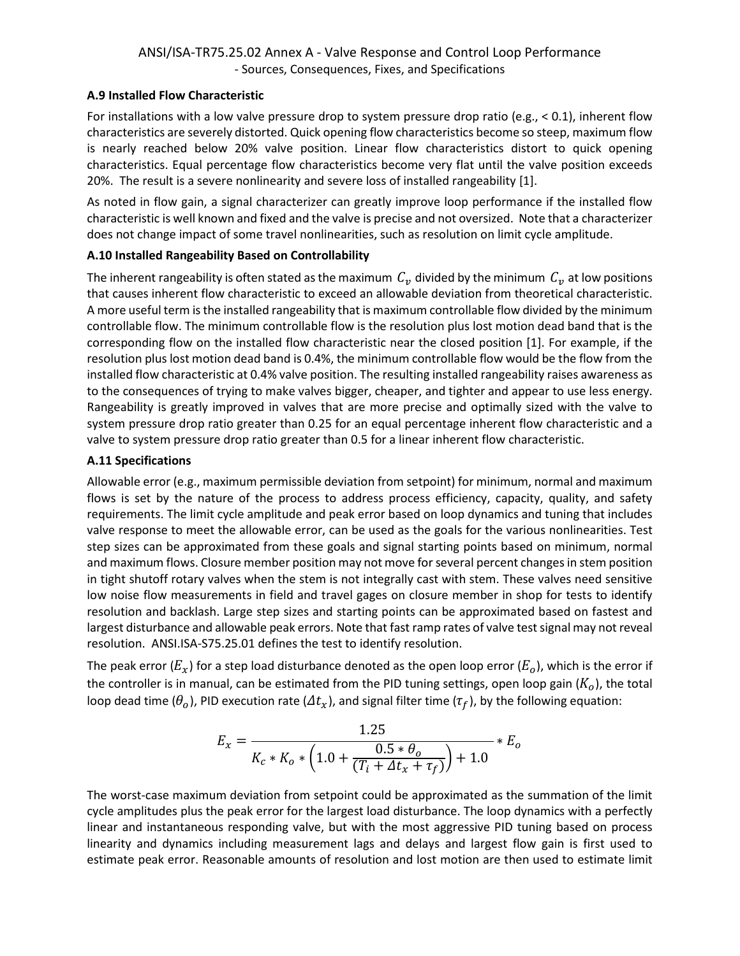#### **A.9 Installed Flow Characteristic**

For installations with a low valve pressure drop to system pressure drop ratio (e.g., < 0.1), inherent flow characteristics are severely distorted. Quick opening flow characteristics become so steep, maximum flow is nearly reached below 20% valve position. Linear flow characteristics distort to quick opening characteristics. Equal percentage flow characteristics become very flat until the valve position exceeds 20%. The result is a severe nonlinearity and severe loss of installed rangeability [1].

As noted in flow gain, a signal characterizer can greatly improve loop performance if the installed flow characteristic is well known and fixed and the valve is precise and not oversized. Note that a characterizer does not change impact of some travel nonlinearities, such as resolution on limit cycle amplitude.

### **A.10 Installed Rangeability Based on Controllability**

The inherent rangeability is often stated as the maximum  $C_v$  divided by the minimum  $C_v$  at low positions that causes inherent flow characteristic to exceed an allowable deviation from theoretical characteristic. A more useful term is the installed rangeability that is maximum controllable flow divided by the minimum controllable flow. The minimum controllable flow is the resolution plus lost motion dead band that is the corresponding flow on the installed flow characteristic near the closed position [1]. For example, if the resolution plus lost motion dead band is 0.4%, the minimum controllable flow would be the flow from the installed flow characteristic at 0.4% valve position. The resulting installed rangeability raises awareness as to the consequences of trying to make valves bigger, cheaper, and tighter and appear to use less energy. Rangeability is greatly improved in valves that are more precise and optimally sized with the valve to system pressure drop ratio greater than 0.25 for an equal percentage inherent flow characteristic and a valve to system pressure drop ratio greater than 0.5 for a linear inherent flow characteristic.

#### **A.11 Specifications**

Allowable error (e.g., maximum permissible deviation from setpoint) for minimum, normal and maximum flows is set by the nature of the process to address process efficiency, capacity, quality, and safety requirements. The limit cycle amplitude and peak error based on loop dynamics and tuning that includes valve response to meet the allowable error, can be used as the goals for the various nonlinearities. Test step sizes can be approximated from these goals and signal starting points based on minimum, normal and maximum flows. Closure member position may not move for several percent changes in stem position in tight shutoff rotary valves when the stem is not integrally cast with stem. These valves need sensitive low noise flow measurements in field and travel gages on closure member in shop for tests to identify resolution and backlash. Large step sizes and starting points can be approximated based on fastest and largest disturbance and allowable peak errors. Note that fast ramp rates of valve test signal may not reveal resolution. ANSI.ISA-S75.25.01 defines the test to identify resolution.

The peak error ( $E_x$ ) for a step load disturbance denoted as the open loop error ( $E_o$ ), which is the error if the controller is in manual, can be estimated from the PID tuning settings, open loop gain  $(K<sub>o</sub>)$ , the total loop dead time ( $\theta_o$ ), PID execution rate ( $\Delta t_x$ ), and signal filter time ( $\tau_f$ ), by the following equation:

$$
E_x = \frac{1.25}{K_c * K_o * \left(1.0 + \frac{0.5 * \theta_o}{(T_i + \Delta t_x + \tau_f)}\right) + 1.0} * E_o
$$

The worst-case maximum deviation from setpoint could be approximated as the summation of the limit cycle amplitudes plus the peak error for the largest load disturbance. The loop dynamics with a perfectly linear and instantaneous responding valve, but with the most aggressive PID tuning based on process linearity and dynamics including measurement lags and delays and largest flow gain is first used to estimate peak error. Reasonable amounts of resolution and lost motion are then used to estimate limit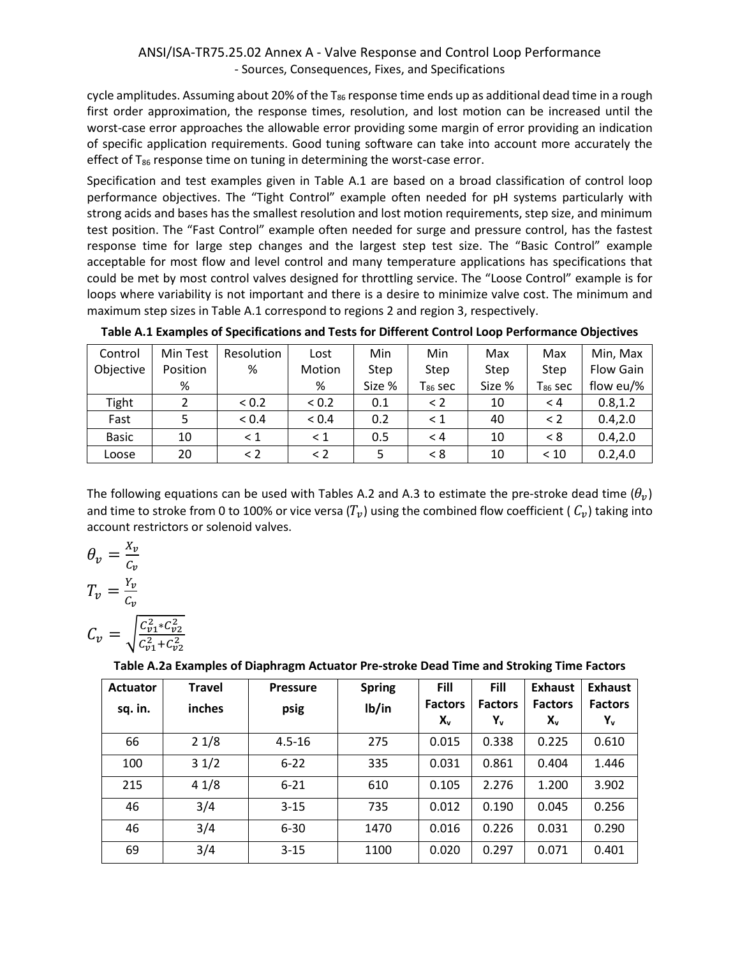cycle amplitudes. Assuming about 20% of the  $T_{86}$  response time ends up as additional dead time in a rough first order approximation, the response times, resolution, and lost motion can be increased until the worst-case error approaches the allowable error providing some margin of error providing an indication of specific application requirements. Good tuning software can take into account more accurately the effect of  $T_{86}$  response time on tuning in determining the worst-case error.

Specification and test examples given in Table A.1 are based on a broad classification of control loop performance objectives. The "Tight Control" example often needed for pH systems particularly with strong acids and bases has the smallest resolution and lost motion requirements, step size, and minimum test position. The "Fast Control" example often needed for surge and pressure control, has the fastest response time for large step changes and the largest step test size. The "Basic Control" example acceptable for most flow and level control and many temperature applications has specifications that could be met by most control valves designed for throttling service. The "Loose Control" example is for loops where variability is not important and there is a desire to minimize valve cost. The minimum and maximum step sizes in Table A.1 correspond to regions 2 and region 3, respectively.

| Control      | Min Test | Resolution | Lost       | Min    | Min          | Max    | Max                   | Min, Max         |
|--------------|----------|------------|------------|--------|--------------|--------|-----------------------|------------------|
| Objective    | Position | %          | Motion     | Step   | Step         | Step   | Step                  | <b>Flow Gain</b> |
|              | %        |            | %          | Size % | $T_{86}$ sec | Size % | $\mathsf{T}_{86}$ sec | flow eu/%        |
| Tight        |          | < 0.2      | < 0.2      | 0.1    | $\leq$ 2     | 10     | $\leq 4$              | 0.8, 1.2         |
| Fast         |          | < 0.4      | ${}_{0.4}$ | 0.2    | $\leq 1$     | 40     | $\leq$ 2              | 0.4, 2.0         |
| <b>Basic</b> | 10       | $\leq 1$   | < 1        | 0.5    | < 4          | 10     | < 8                   | 0.4, 2.0         |
| Loose        | 20       | $\leq$ 2   | $\leq$ 2   | 5      | < 8          | 10     | < 10                  | 0.2, 4.0         |

|  | Table A.1 Examples of Specifications and Tests for Different Control Loop Performance Objectives |
|--|--------------------------------------------------------------------------------------------------|
|--|--------------------------------------------------------------------------------------------------|

The following equations can be used with Tables A.2 and A.3 to estimate the pre-stroke dead time  $(\theta_v)$ and time to stroke from 0 to 100% or vice versa  $(T_v)$  using the combined flow coefficient (  $C_v$ ) taking into account restrictors or solenoid valves.

$$
\theta_{v} = \frac{X_{v}}{C_{v}}
$$

$$
T_{v} = \frac{Y_{v}}{C_{v}}
$$

$$
C_{v} = \sqrt{\frac{C_{v1}^{2} * C_{v2}^{2}}{C_{v1}^{2} + C_{v2}^{2}}}
$$

**Table A.2a Examples of Diaphragm Actuator Pre-stroke Dead Time and Stroking Time Factors**

| <b>Actuator</b> | Travel | <b>Pressure</b> | <b>Spring</b> | Fill                             | Fill                  | <b>Exhaust</b>                   | <b>Exhaust</b>       |
|-----------------|--------|-----------------|---------------|----------------------------------|-----------------------|----------------------------------|----------------------|
| sq. in.         | inches | psig            | Ib/in         | <b>Factors</b><br>X <sub>v</sub> | <b>Factors</b><br>Υ., | <b>Factors</b><br>X <sub>v</sub> | <b>Factors</b><br>Y, |
| 66              | 21/8   | $4.5 - 16$      | 275           | 0.015                            | 0.338                 | 0.225                            | 0.610                |
| 100             | 31/2   | $6 - 22$        | 335           | 0.031                            | 0.861                 | 0.404                            | 1.446                |
| 215             | 41/8   | $6 - 21$        | 610           | 0.105                            | 2.276                 | 1.200                            | 3.902                |
| 46              | 3/4    | $3 - 15$        | 735           | 0.012                            | 0.190                 | 0.045                            | 0.256                |
| 46              | 3/4    | $6 - 30$        | 1470          | 0.016                            | 0.226                 | 0.031                            | 0.290                |
| 69              | 3/4    | $3 - 15$        | 1100          | 0.020                            | 0.297                 | 0.071                            | 0.401                |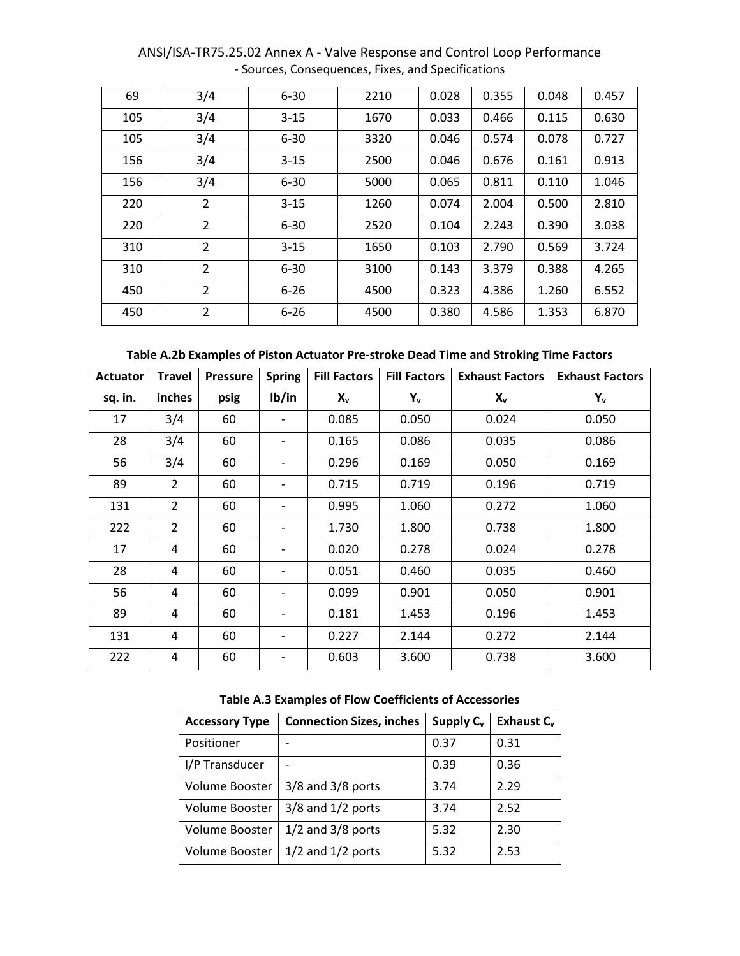| 69  | 3/4            | $6 - 30$ | 2210 | 0.028 | 0.355 | 0.048 | 0.457 |
|-----|----------------|----------|------|-------|-------|-------|-------|
| 105 | 3/4            | $3 - 15$ | 1670 | 0.033 | 0.466 | 0.115 | 0.630 |
| 105 | 3/4            | $6 - 30$ | 3320 | 0.046 | 0.574 | 0.078 | 0.727 |
| 156 | 3/4            | $3 - 15$ | 2500 | 0.046 | 0.676 | 0.161 | 0.913 |
| 156 | 3/4            | $6 - 30$ | 5000 | 0.065 | 0.811 | 0.110 | 1.046 |
| 220 | $\overline{2}$ | $3 - 15$ | 1260 | 0.074 | 2.004 | 0.500 | 2.810 |
| 220 | 2              | $6 - 30$ | 2520 | 0.104 | 2.243 | 0.390 | 3.038 |
| 310 | $\overline{2}$ | $3 - 15$ | 1650 | 0.103 | 2.790 | 0.569 | 3.724 |
| 310 | 2              | $6 - 30$ | 3100 | 0.143 | 3.379 | 0.388 | 4.265 |
| 450 | 2              | $6 - 26$ | 4500 | 0.323 | 4.386 | 1.260 | 6.552 |
| 450 | 2              | $6 - 26$ | 4500 | 0.380 | 4.586 | 1.353 | 6.870 |

**Table A.2b Examples of Piston Actuator Pre-stroke Dead Time and Stroking Time Factors**

| <b>Actuator</b> | <b>Travel</b>  | <b>Pressure</b> | <b>Spring</b> | <b>Fill Factors</b> | <b>Fill Factors</b> | <b>Exhaust Factors</b> | <b>Exhaust Factors</b> |
|-----------------|----------------|-----------------|---------------|---------------------|---------------------|------------------------|------------------------|
| sq. in.         | inches         | psig            | Ib/in         | $X_{v}$             | Y <sub>v</sub>      | $X_{v}$                | Y <sub>v</sub>         |
| 17              | 3/4            | 60              |               | 0.085               | 0.050               | 0.024                  | 0.050                  |
| 28              | 3/4            | 60              |               | 0.165               | 0.086               | 0.035                  | 0.086                  |
| 56              | 3/4            | 60              | -             | 0.296               | 0.169               | 0.050                  | 0.169                  |
| 89              | $\overline{2}$ | 60              |               | 0.715               | 0.719               | 0.196                  | 0.719                  |
| 131             | $\overline{2}$ | 60              |               | 0.995               | 1.060               | 0.272                  | 1.060                  |
| 222             | $\overline{2}$ | 60              | -             | 1.730               | 1.800               | 0.738                  | 1.800                  |
| 17              | 4              | 60              | -             | 0.020               | 0.278               | 0.024                  | 0.278                  |
| 28              | 4              | 60              |               | 0.051               | 0.460               | 0.035                  | 0.460                  |
| 56              | 4              | 60              | -             | 0.099               | 0.901               | 0.050                  | 0.901                  |
| 89              | 4              | 60              | -             | 0.181               | 1.453               | 0.196                  | 1.453                  |
| 131             | 4              | 60              | -             | 0.227               | 2.144               | 0.272                  | 2.144                  |
| 222             | 4              | 60              |               | 0.603               | 3.600               | 0.738                  | 3.600                  |

|  |  |  | Table A.3 Examples of Flow Coefficients of Accessories |  |  |
|--|--|--|--------------------------------------------------------|--|--|
|--|--|--|--------------------------------------------------------|--|--|

| <b>Accessory Type</b> | <b>Connection Sizes, inches</b> | Supply C <sub>v</sub> | Exhaust $C_v$ |
|-----------------------|---------------------------------|-----------------------|---------------|
| Positioner            |                                 | 0.37                  | 0.31          |
| I/P Transducer        |                                 | 0.39                  | 0.36          |
| Volume Booster        | $3/8$ and $3/8$ ports           | 3.74                  | 2.29          |
| Volume Booster        | $3/8$ and $1/2$ ports           | 3.74                  | 2.52          |
| Volume Booster        | $1/2$ and $3/8$ ports           | 5.32                  | 2.30          |
| Volume Booster        | $1/2$ and $1/2$ ports           | 5.32                  | 2.53          |